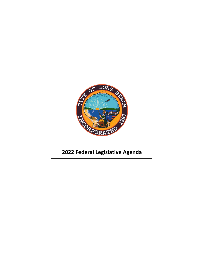

# **2022 Federal Legislative Agenda**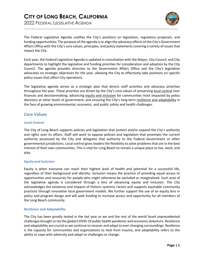# **CITY OF LONG BEACH, CALIFORNIA**

2022 FEDERAL LEGISLATIVE AGENDA

The Federal Legislative Agenda codifies the City's positions on legislation, regulatory proposals, and funding opportunities. The purpose of the agenda is to align the advocacy efforts of the City's Government Affairs Office with the City's core values, principles, and policy statements covering a variety of issues that impact the City.

Each year, the Federal Legislative Agenda is updated in consultation with the Mayor, City Council, and City departments to highlight the legislative and funding priorities for consideration and adoption by the City Council. The agenda provides direction to the Government Affairs Office and the City's legislative advocates on strategic objectives for the year, allowing the City to effectively take positions on specific policy issues that affect City operations.

The legislative agenda serves as a strategic plan that directs staff activities and advocacy priorities throughout the year. These priorities are driven by the City's core values of preserving local control over finances and decisionmaking; advancing equity and inclusion for communities most impacted by policy decisions at other levels of government; and ensuring the City's long-term resilience and adaptability in the face of growing environmental, economic, and public safety and health challenges.

# **Core Values**

# *Local Control*

The City of Long Beach supports policies and legislation that protect and/or expand the City's authority and rights over its affairs. Staff will work to oppose policies and legislation that preempts the current authority possessed by the City and delegates that authority to the Federal Government or other governmental jurisdictions. Local control gives leaders the flexibility to solve problems that are in the best interest of their own communities. This is vital for Long Beach to remain a unique place to live, work, and play.

# *Equity and Inclusion*

Equity is when everyone can reach their highest level of health and potential for a successful life, regardless of their background and identity. Inclusion means the practice of providing equal access to opportunities and resources for people who might otherwise be excluded or marginalized. Each area of the legislative agenda is considered through a lens of advancing equity and inclusion. The City acknowledges the existence and impacts of historic systemic racism and supports equitable community practices through innovative local government models. We further support the use of an equity lens in policy and program design and will seek funding to increase access and opportunity for all members of the Long Beach community.

# *Resilience and Adaptability*

The City has been greatly tested in the last year as we and the rest of the world faced unprecedented challenges brought on by the global COVID-19 public health pandemic and economic downturn. Resilience and adaptability are crucial as we continue to recover and adapt to ever changing surroundings. Resiliency is the capacity for communities and organizations to heal from trauma, and adaptability refers to the ability to cope with adversity and adapt to challenges or change.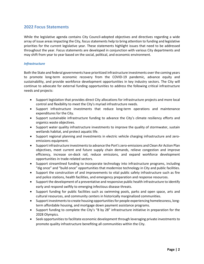# **2022 Focus Statements**

While the legislative agenda contains City Council-adopted objectives and directives regarding a wide array of issue areas impacting the City, focus statements help to bring attention to funding and legislative priorities for the current legislative year. These statements highlight issues that need to be addressed throughout the year. Focus statements are developed in conjunction with various City departments and may shift from year to year based on the social, political, and economic environment.

# *Infrastructure*

Both the State and federal governments have prioritized infrastructure investments over the coming years to promote long-term economic recovery from the COVID-19 pandemic, advance equity and sustainability, and provide workforce development opportunities in key industry sectors. The City will continue to advocate for external funding opportunities to address the following critical infrastructure needs and projects:

- Support legislation that provides direct City allocations for infrastructure projects and more local control and flexibility to meet the City's myriad infrastructure needs.
- Support infrastructure investments that reduce long-term operations and maintenance expenditures for the City.
- Support sustainable infrastructure funding to advance the City's climate resiliency efforts and organics waste objectives.
- Support water quality infrastructure investments to improve the quality of stormwater, sustain wetlands habitat, and protect aquatic life.
- Support regional planning and investments in electric vehicle charging infrastructure and zeroemissions equipment.
- Support infrastructure investments to advance the Port's zero-emissions and Clean Air Action Plan objectives, meet current and future supply chain demands, relieve congestion and improve efficiency, increase on-dock rail, reduce emissions, and expand workforce development opportunities in trade-related sectors.
- Support streamlined funding to incorporate technology into infrastructure programs, including "dig once" and "build once" opportunities that modernize technology in City and public facilities.
- Support the construction of and improvements to vital public safety infrastructure such as fire and police stations, health facilities, and emergency preparation and response resources.
- Support the development of a preventative and responsive public health infrastructure to identify early and respond swiftly to emerging infectious disease threats.
- Support funding for public facilities such as swimming pools, parks and open space, arts and cultural resources, and community centers in historically marginalized communities.
- Support investments to create housing opportunities for people experiencing homelessness, longterm affordable housing, and mortgage down payment assistance programs.
- Support funding to complete the City's "8 by 28" infrastructure initiative in preparation for the 2028 Olympics.
- Seek opportunities to facilitate economic development through leveraging private investments to promote quality infrastructure benefiting all communities within the City.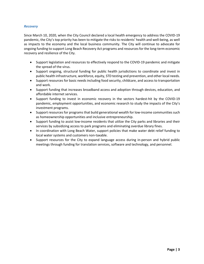# *Recovery*

Since March 10, 2020, when the City Council declared a local health emergency to address the COVID-19 pandemic, the City's top priority has been to mitigate the risks to residents' health and well-being, as well as impacts to the economy and the local business community. The City will continue to advocate for ongoing funding to support Long Beach Recovery Act programs and resources for the long-term economic recovery and resilience of the City.

- Support legislation and resources to effectively respond to the COVID-19 pandemic and mitigate the spread of the virus.
- Support ongoing, structural funding for public health jurisdictions to coordinate and invest in public health infrastructure, workforce, equity, STD testing and prevention, and other local needs.
- Support resources for basic needs including food security, childcare, and access to transportation and work.
- Support funding that increases broadband access and adoption through devices, education, and affordable internet services.
- Support funding to invest in economic recovery in the sectors hardest-hit by the COVID-19 pandemic, employment opportunities, and economic research to study the impacts of the City's investment programs.
- Support resources for programs that build generational wealth for low-income communities such as homeownership opportunities and inclusive entrepreneurship.
- Support funding to assist low-income residents that utilize the City parks and libraries and their services by subsidizing access to park programs and eliminating overdue library fines.
- In coordination with Long Beach Water, support policies that make water debt relief funding to local water systems and customers non-taxable.
- Support resources for the City to expand language access during in-person and hybrid public meetings through funding for translation services, software and technology, and personnel.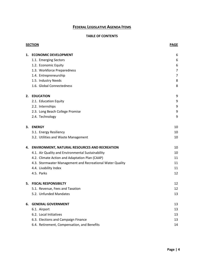# **FEDERAL LEGISLATIVE AGENDA ITEMS**

# **TABLE OF CONTENTS**

|    | <b>SECTION</b>                                            | <b>PAGE</b>    |
|----|-----------------------------------------------------------|----------------|
| 1. | <b>ECONOMIC DEVELOPMENT</b>                               | 6              |
|    | 1.1. Emerging Sectors                                     | 6              |
|    | 1.2. Economic Equity                                      | 6              |
|    | 1.3. Workforce Preparedness                               | $\overline{7}$ |
|    | 1.4. Entrepreneurship                                     | 7              |
|    | 1.5. Industry Needs                                       | 8              |
|    | 1.6. Global Connectedness                                 | 8              |
| 2. | <b>EDUCATION</b>                                          | 9              |
|    | 2.1. Education Equity                                     | 9              |
|    | 2.2. Internships                                          | 9              |
|    | 2.3. Long Beach College Promise                           | 9              |
|    | 2.4. Technology                                           | 9              |
| 3. | <b>ENERGY</b>                                             | 10             |
|    | 3.1. Energy Resiliency                                    | 10             |
|    | 3.2. Utilities and Waste Management                       | 10             |
| 4. | <b>ENVIRONMENT, NATURAL RESOURCES AND RECREATION</b>      | 10             |
|    | 4.1. Air Quality and Environmental Sustainability         | 10             |
|    | 4.2. Climate Action and Adaptation Plan (CAAP)            | 11             |
|    | 4.3. Stormwater Management and Recreational Water Quality | 11             |
|    | 4.4. Livability Index                                     | 11             |
|    | 4.5. Parks                                                | 12             |
| 5. | <b>FISCAL RESPONSIBILTY</b>                               | 12             |
|    | 5.1. Revenue, Fees and Taxation                           | 12             |
|    | 5.2. Unfunded Mandates                                    | 13             |
| 6. | <b>GENERAL GOVERNMENT</b>                                 | 13             |
|    | 6.1. Airport                                              | 13             |
|    | 6.2. Local Initiatives                                    | 13             |
|    | 6.3. Elections and Campaign Finance                       | 13             |
|    | 6.4. Retirement, Compensation, and Benefits               | 14             |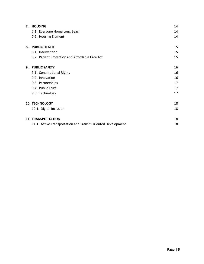| 7. | <b>HOUSING</b>                                               | 14 |
|----|--------------------------------------------------------------|----|
|    | 7.1. Everyone Home Long Beach                                | 14 |
|    | 7.2. Housing Element                                         | 14 |
| 8. | <b>PUBLIC HEALTH</b>                                         | 15 |
|    | 8.1. Intervention                                            | 15 |
|    | 8.2. Patient Protection and Affordable Care Act              | 15 |
| 9. | <b>PUBLIC SAFETY</b>                                         | 16 |
|    | 9.1. Constitutional Rights                                   | 16 |
|    | 9.2. Innovation                                              | 16 |
|    | 9.3. Partnerships                                            | 17 |
|    | 9.4. Public Trust                                            | 17 |
|    | 9.5. Technology                                              | 17 |
|    | 10. TECHNOLOGY                                               | 18 |
|    | 10.1. Digital Inclusion                                      | 18 |
|    | <b>11. TRANSPORTATION</b>                                    | 18 |
|    | 11.1. Active Transportation and Transit-Oriented Development | 18 |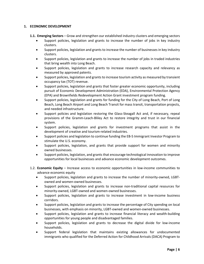# **1. ECONOMIC DEVELOPMENT**

- **1.1. Emerging Sectors** Grow and strengthen our established industry clusters and emerging sectors
	- Support policies, legislation and grants to increase the number of jobs in key industry clusters.
	- Support policies, legislation and grants to increase the number of businesses in key industry clusters.
	- Support policies, legislation and grants to increase the number of jobs in traded industries that bring wealth into Long Beach.
	- Support policies, legislation and grants to increase research capacity and relevancy as measured by approved patents.
	- Support policies, legislation and grants to increase tourism activity as measured by transient occupancy tax (TOT) revenue.
	- Support policies, legislation and grants that foster greater economic opportunity, including pursuit of Economic Development Administration (EDA), Environmental Protection Agency (EPA) and Brownfields Redevelopment Action Grant investment program funding.
	- Support policies, legislation and grants for funding for the City of Long Beach, Port of Long Beach, Long Beach Airport and Long Beach Transit for mass transit, transportation projects, and needed infrastructure.
	- Support policies and legislation restoring the Glass-Steagall Act and, if necessary, repeal provisions of the Gramm-Leach-Bliley Act to restore integrity and trust in our financial system.
	- Support policies, legislation and grants for investment programs that assist in the development of creative and tourism-related industries.
	- Support policies and legislation to continue funding the EB-5 Immigrant Investor Program to stimulate the U.S. economy.
	- Support policies, legislation, and grants that provide support for women and minority owned businesses.
	- Support policies, legislation, and grants that encourage technological innovation to improve opportunities for local businesses and advance economic development outcomes.
- 1.2. **Economic Equity** Increase access to economic opportunities in low-income communities to advance economic equity
	- Support policies, legislation and grants to increase the number of minority-owned, LGBTowned and women-owned businesses.
	- Support policies, legislation and grants to increase non-traditional capital resources for minority-owned, LGBT-owned and women-owned businesses.
	- Support policies, legislation and grants to increase investment in low-income business corridors.
	- Support policies, legislation and grants to increase the percentage of City spending on local businesses, with emphasis on minority, LGBT-owned and women-owned businesses.
	- Support policies, legislation and grants to increase financial literacy and wealth-building opportunities for young people and disadvantaged families.
	- Support policies, legislation and grants to decrease the digital divide for low-income households.
	- Support federal legislation that maintains existing allowances for undocumented immigrants who qualified for the Deferred Action for Childhood Arrivals (DACA) Program to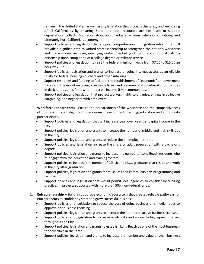remain in the United States, as well as any legislation that protects the safety and well-being of all Californians by ensuring State and local resources are not used to support deportations, collect information about an individual's religious beliefs or affiliations, and ultimately hurt California's economy.

- Support policies and legislation that support comprehensive immigration reform that will provide a dignified path to United States citizenship to strengthen the nation's workforce and the economy including qualifying undocumented youth with a conditional path to citizenship upon completion of a college degree or military service.
- Support policies and legislation to raise the federal minimum wage from \$7.25 to \$15.00 an hour by 2022.
- Support policies, legislation and grants to increase ongoing internet access as an eligible utility for federal housing vouchers and other subsidies.
- Support resources and funding to facilitate the establishment of "economic" empowerment zones and the use of revolving loan funds to expand commercial and cultural opportunities in designated zones for low-to-moderate income (LMI) communities.
- Support policies and legislation that protect workers' rights to organize, engage in collective bargaining, and negotiate with employers.
- 1.3. **Workforce Preparedness** Ensure the preparedness of the workforce and the competitiveness of business through alignment of economic development, training, education and community partner efforts.
	- Support policies and legislation that will increase year over year per capita income in the City.
	- Support policies, legislation and grants to increase the number of middle and high-skill jobs in the City.
	- Support policies, legislation and grants to reduce the unemployment rate.
	- Support policies and legislation increase the share of adult population with a bachelor's degree.
	- Support policies, legislation and grants to increase the number of Long Beach residents who re-engage with the education and training system.
	- Support policies to increase the number of CSULB and LBCC graduates that reside and work in the City after graduation.
	- Support policies, legislation and grants for museums and community arts programming and facilities.
	- Support policies and legislation that would permit local agencies to consider local hiring practices in projects supported with more than 50% non-federal funds.
- 1.4. **Entrepreneurship** Build a supportive economic ecosystem that creates reliable pathways for entrepreneurs to confidently start and grow successful business
	- Support policies and legislation to reduce the cost of doing business and median days to approval for business licensing.
	- Support policies, legislation and grants to increase the number of active business licenses.
	- Support policies and legislation to increase availability and access to high-speed internet throughout the City.
	- Support policies, legislation and grants to establish Long Beach as one of the most businessfriendly cities in the State.
	- Support policies, legislation and grants to increase the number and value of small business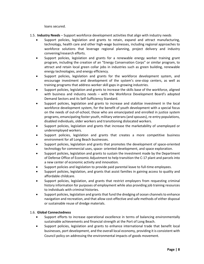loans secured.

- 1.5. **Industry Needs** Support workforce development activities that align with industry needs
	- Support policies, legislation and grants to retain, expand and attract manufacturing, technology, health care and other high-wage businesses, including regional approaches to workforce solutions that leverage regional planning, project delivery and industry convening/research efforts.
	- Support policies, legislation and grants for a renewable energy worker training grant program, including the creation of an "Energy Conservation Corps" or similar program, to attract and retain local green collar jobs in industries such as green building, renewable energy technologies, and energy efficiency.
	- Support policies, legislation and grants for the workforce development system, and encourage investment and development of the system's one-stop centers, as well as training programs that address worker skill gaps in growing industries.
	- Support policies, legislation and grants to increase the skills base of the workforce, aligned with business and industry needs – with the Workforce Development Board's adopted Demand Sectors and its Self-Sufficiency Standard.
	- Support policies, legislation and grants to increase and stabilize investment in the local workforce development system, for the benefit of youth development with a special focus on the needs of out-of-school, those who are emancipated and enrolled in justice system programs, emancipating foster youth, military veterans (and spouses), re-entry populations, disabled individuals, older workers and transitioning dislocated workers.
	- Support policies, legislation and grants that increase the marketability of unemployed or underemployed workers.
	- Support policies, legislation and grants that creates a more competitive business environment for all Long Beach businesses.
	- Support policies, legislation and grants that promotes the development of space-oriented technology for commercial uses, space- oriented development, and space exploration.
	- Support policies, legislation and grants to sustain the investment made by the Department of Defense Office of Economic Adjustment to help transition the C-17 plant and parcels into a new center of economic activity and innovation.
	- Support policies and legislation to provide paid parental leave to full-time employees.
	- Support policies, legislation, and grants that assist families in gaining access to quality and affordable childcare.
	- Support policies, legislation, and grants that restrict employers from requesting criminal history information for purposes of employment while also providing job training resources to individuals with criminal histories.
	- Support policies, legislation and grants that fund the dredging of ocean channels to enhance navigation and recreation, and that allow cost-effective and safe methods of either disposal or sustainable reuse of dredge materials.

# 1.6. **Global Connectedness**

- Support efforts to increase operational excellence in terms of balancing environmentally sustainable achievements and financial strength at the Port of Long Beach.
- Support policies, legislation and grants to enhance international trade that benefit local businesses, port development, and the overall local economy, providing it is consistent with Council policy on addressing the environmental impacts of goods movement.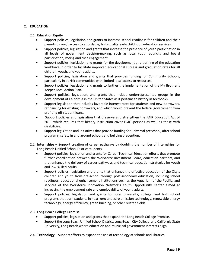# **2. EDUCATION**

# 2.1. **Education Equity**

- Support policies, legislation and grants to increase school readiness for children and their parents through access to affordable, high-quality early childhood education services.
- Support policies, legislation and grants that increase the presence of youth participation in all levels of government decision-making, such as local youth councils and board participation, voting and civic engagement.
- Support policies, legislation and grants for the development and training of the education workforce in order to facilitate improved educational success and graduation rates for all children, youth, and young adults.
- Support policies, legislation and grants that provides funding for Community Schools, particularly in at-risk communities with limited local access to resources.
- Support policies, legislation and grants to further the implementation of the My Brother's Keeper Local Action Plan.
- Support policies, legislation, and grants that include underrepresented groups in the development of California in the United States as it pertains to history in textbooks.
- Support legislation that includes favorable interest rates for students and new borrowers, refinancing for existing borrowers, and which would prevent the federal government from profiting off student loans.
- Support policies and legislation that preserve and strengthen the FAIR Education Act of 2011 which requires that history instruction cover LGBT persons as well as those with disabilities.
- Support legislation and initiatives that provide funding for universal preschool, after school programs, safety in and around schools and bullying prevention.
- 2.2. **Internships** Support creation of career pathways by doubling the number of internships for Long Beach Unified School District students
	- Support policies, legislation and grants for Career Technical Education efforts that promote further coordination between the Workforce Investment Board, education partners, and that enhance the delivery of career pathways and technical education strategies for youth and low-skilled adults.
	- Support policies, legislation and grants that enhance the effective education of the City's children and youth from pre-school through post-secondary education, including school readiness, educational enhancement institutions such as the Aquarium of the Pacific, and services of the Workforce Innovation Network's Youth Opportunity Center aimed at increasing the employment rate and employability of young adults.
	- Support policies, legislation and grants for local university, college, and high school programs that train students in near-zero and zero emission technology, renewable energy technology, energy efficiency, green building, or other related fields.

# 2.3. **Long Beach College Promise**

- Support policies, legislation and grants that expand the Long Beach College Promise.
- Support the Long Beach Unified School District, Long Beach City College, and California State University, Long Beach where education and municipal government interests align.
- 2.4. **Technology**  Support efforts to expand the use of technology at schools and libraries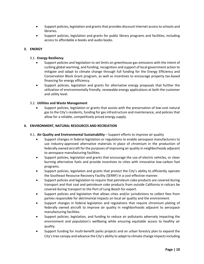- Support policies, legislation and grants that provides discount Internet access to schools and libraries.
- Support policies, legislation and grants for public library programs and facilities, including access to affordable e-books and audio books.

# **3. ENERGY**

# 3.1. **Energy Resiliency**

- Support policies and legislation to set limits on greenhouse gas emissions with the intent of curbing global warming, and funding, recognition and support of local government action to mitigate and adapt to climate change through full funding for the Energy Efficiency and Conservation Block Grant program, as well as incentives to encourage property tax-based financing for energy efficiency.
- Support policies, legislation and grants for alternative energy proposals that further the utilization of environmentally friendly, renewable energy applications at both the customer and utility level.

# 3.2. **Utilities and Waste Management**

• Support policies, legislation or grants that assists with the preservation of low-cost natural gas to the City's residents, funding for gas infrastructure and maintenance, and policies that allow for a reliable, competitively priced energy supply.

# **4. ENVIRONMENT, NATURAL RESOURCES AND RECREATION**

#### 4.1. **Air Quality and Environmental Sustainability** – Support efforts to improve air quality

- Support changes in federal legislation or regulations to enable aerospace manufacturers to use industry-approved alternative materials in place of chromium in the production of federally owned aircraft for the purposes of improving air quality in neighborhoods adjacent to aerospace manufacturing facilities.
- Support policies, legislation and grants that encourage the use of electric vehicles, or clean burning alternative fuels and provide incentives to cities with innovative low-carbon fuel programs.
- Support policies, legislation and grants that protect the City's ability to efficiently operate the Southeast Resource Recovery Facility (SERRF) in a cost-effective manner.
- Support policies and legislation to require that petroleum coke products are covered during transport and that coal and petroleum coke products from outside California in railcars be covered during transport to the Port of Long Beach for export.
- Support policies and legislation that allows cities and/or jurisdictions to collect fees from parties responsible for detrimental impacts on local air quality and the environment.
- Support changes in federal legislation and regulations that require chromium plating of federally owned aircraft to improve air quality in neighborhoods adjacent to aerospace manufacturing facilities.
- Support policies, legislation, and funding to reduce air pollutants adversely impacting the environment and population's wellbeing while ensuring equitable access to healthy air quality.
- Support funding for multi-benefit parks projects and an urban forestry plan to expand the City's tree canopy and advance the City's ability to adapt to climate change impacts including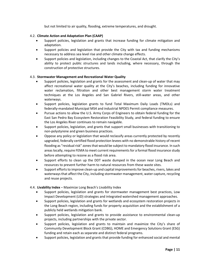but not limited to air quality, flooding, extreme temperatures, and drought.

# 4.2. **Climate Action and Adaptation Plan (CAAP)**

- Support policies, legislation and grants that increase funding for climate mitigation and adaptation.
- Support policies and legislation that provide the City with tax and funding mechanisms necessary to address sea level rise and other climate change effects.
- Support policies and legislation, including changes to the Coastal Act, that clarify the City's ability to protect public structures and lands including, where necessary, through the construction of protective structures.

# 4.3. **Stormwater Management and Recreational Water Quality**

- Support policies, legislation and grants for the assessment and clean-up of water that may affect recreational water quality at the City's beaches, including funding for innovative water reclamation, filtration and other best management storm water treatment techniques at the Los Angeles and San Gabriel Rivers, still-water areas, and other waterways.
- Support policies, legislation grants to fund Total Maximum Daily Loads (TMDLs) and federally-mandated Municipal MS4 and industrial NPDES Permit compliance measures.
- Pursue actions to allow the U.S. Army Corps of Engineers to obtain federal funding for the East San Pedro Bay Ecosystem Restoration Feasibility Study, and federal funding to ensure the Los Angeles River continues to remain navigable.
- Support policies, legislation, and grants that support small businesses with transitioning to non-polystyrene and green business practices.
- Oppose any policy or legislation that would reclassify areas currently protected by recently upgraded, federally certified flood protection levees with no demonstrable history of recent flooding as "residual risk" zones that would be subject to mandatory flood insurance. In such areas locally, require FEMA to meet current requirements for a formal flood insurance study before attempting to rezone as a flood risk area.
- Support efforts to clean up the DDT waste dumped in the ocean near Long Beach and resources to prevent further harm to natural resources from these waste sites.
- Support efforts to improve clean-up and capital improvements for beaches, rivers, lakes and waterways that affect the City, including stormwater management, water capture, recycling and reuse projects.

# 4.4. **Livability Index** – Maximize Long Beach's Livability Index

- Support policies, legislation and grants for stormwater management best practices, Low Impact Development (LID) strategies and integrated watershed management approaches.
- Support policies, legislation and grants for wetlands and ecosystem restoration projects in the Long Beach region, including funds for property acquisition and the establishment of a publicly held wetlands mitigation bank.
- Support policies, legislation and grants to provide assistance to environmental clean-up projects, including partnerships with the private sector.
- Support policies, legislation and grants to maintain and maximize the City's share of Community Development Block Grant (CDBG), HOME and Emergency Solutions Grant (ESG) funding and retain each as separate and distinct federal programs.
- Support policies, legislation and grants that provide funding for enhanced social and mental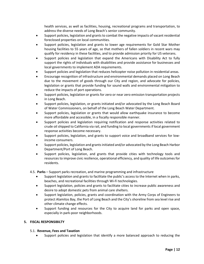health services, as well as facilities, housing, recreational programs and transportation, to address the diverse needs of Long Beach's senior community.

- Support policies, legislation and grants to combat the negative impacts of vacant residential foreclosed properties on local communities.
- Support policies, legislation and grants to lower age requirements for Gold Star Mother housing facilities to 55 years of age, so that mothers of fallen soldiers in recent wars may qualify for residency in these facilities, and to provide admission priority for US veterans.
- Support policies and legislation that expand the Americans with Disability Act to fully support the rights of individuals with disabilities and provide assistance for businesses and local governments to implement ADA requirements.
- Support policies and legislation that reduces helicopter noise pollution in residential areas.
- Encourage recognition of infrastructure and environmental demands placed on Long Beach due to the movement of goods through our City and region, and advocate for policies, legislation or grants that provide funding for sound walls and environmental mitigation to reduce the impacts of port operations.
- Support policies, legislation or grants for zero or near zero emission transportation projects in Long Beach.
- Support policies, legislation, or grants initiated and/or advocated by the Long Beach Board of Water Commissioners, on behalf of the Long Beach Water Department.
- Support policies, legislation or grants that would allow earthquake insurance to become more affordable and accessible, in a fiscally responsible manner.
- Support policies and legislation requiring notification and response activities related to crude oil shipped to California via rail, and funding to local governments if local government response activities become necessary.
- Support policies, legislation, and grants to support voice and broadband services for lowincome consumers.
- Support policies, legislation and grants initiated and/or advocated by the Long Beach Harbor Department/Port of Long Beach.
- Support policies, legislation, and grants that provide cities with technology tools and resources to improve civic resilience, operational efficiency, and quality of life outcomes for residents.
- 4.5. **Parks** Support parks recreation, and marine programming and infrastructure
	- Support legislation and grants to facilitate the public's access to the Internet when in parks, beaches, and recreational facilities through Wi-Fi technologies.
	- Support legislation, policies and grants to facilitate cities to increase public awareness and desire to adopt domestic pets from animal care shelters.
	- Support legislation, policies, grants and coordination with the Army Corps of Engineers to protect Alamitos Bay, the Port of Long Beach and the City's shoreline from sea level rise and other climate change effects.
	- Support funding and resources for the City to acquire land for parks and open space, especially in park-poor neighborhoods.

# **5. FISCAL RESPONSIBILTY**

# 5.1. **Revenue, Fees and Taxation**

• Support policies and legislation that identify a more balanced approach to reducing the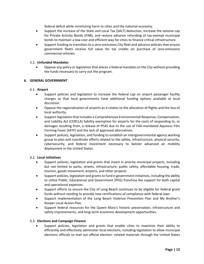federal deficit while minimizing harm to cities and the national economy.

- Support the increase of the State and Local Tax (SALT) deduction, increase the volume cap for Private Activity Bonds (PAB), and restore advance refunding of tax-exempt municipal bonds to maintain a low-cost and efficient way for cities to finance critical infrastructure.
- Support funding to transition to a zero-emissions City fleet and advance policies that ensure government fleets receive full value for tax credits on purchase of zero-emissions commercial vehicles.

# 5.2. **Unfunded Mandates**

• Oppose any policy or legislation that places a federal mandate on the City without providing the funds necessary to carry out the program.

# **6. GENERAL GOVERNMENT**

# 6.1. **Airport**

- Support policies and legislation to increase the federal cap on airport passenger facility charges so that local governments have additional funding options available at local discretion.
- Oppose the regionalization of airports as it relates to the allocation of flights and the loss of local authority.
- Support legislation that includes a Comprehensive Environmental Response, Compensation, and Liability Act (CERCLA) liability exemption for airports for the costs of responding to, or damages resulting from, a release of PFAS due to the use of FAA-mandated Aqueous Film Forming Foam (AFFF) and the lack of approved alternatives.
- Support policies, legislation, and funding to establish an intergovernmental agency working group to plan and coordinate efforts related to the safety, infrastructure, physical security, cybersecurity, and federal investment necessary to bolster advanced air mobility deployment in the United States.

# 6.2. **Local Initiatives**

- Support policies, legislation and grants that invest in priority municipal projects, including but not limited to parks, streets, infrastructure, public safety, affordable housing, trade, tourism, goods movement, airports, and other projects.
- Support policies, legislation and grants to fund e-government initiatives, including the ability to utilize Public, Educational and Government (PEG) franchise fee support for both capital and operational expenses.
- Support efforts to ensure the City of Long Beach continues to be eligible for federal grant funds without needing to provide new certifications of compliance with federal laws.
- Support implementation of the Long Beach Violence Prevention Plan and My Brother's Keeper Local Action Plan.
- Support federal resources for the Queen Mary's historic preservation, infrastructure and safety improvements, and long-term economic development opportunities.

#### 6.3. **Elections and Campaign Finance**

• Support policies, legislation and grants that enable cities to maximize their ability to efficiently and effectively administer local elections, including legislation to allow municipal elections officials to mail out official election- related materials through the United States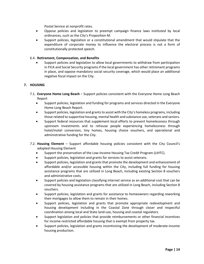Postal Service at nonprofit rates.

- Oppose policies and legislation to preempt campaign finance laws instituted by local ordinances, such as the City's Proposition M.
- Support policies, legislation or a constitutional amendment that would stipulate that the expenditure of corporate money to influence the electoral process is not a form of constitutionally protected speech.

# 6.4. **Retirement, Compensation, and Benefits**

• Support policies and legislation to allow local governments to withdraw from participation in FICA and Social Security programs if the local government has other retirement programs in place, and oppose mandatory social security coverage, which would place an additional negative fiscal impact on the City.

# **7. HOUSING**

- 7.1. **Everyone Home Long Beach** Support policies consistent with the Everyone Home Long Beach Report
	- Support policies, legislation and funding for programs and services directed in the Everyone Home Long Beach Report.
	- Support policies, legislation and grants to assist with the City's homeless programs, including those related to supportive housing, mental health and substance use, veterans and seniors.
	- Support federal resources that supplement local efforts to prevent homelessness through upstream investments and to rehouse people experiencing homelessness through hotel/motel conversion, tiny homes, housing choice vouchers, and operational and administrative funding for the City.
- 7.2. **Housing Element** Support affordable housing policies consistent with the City Council's adopted Housing Element
	- Support the preservation of the Low-Income Housing Tax Credit Program (LIHTC).
	- Support policies, legislation and grants for services to assist veterans.
	- Support policies, legislation and grants that promote the development and enhancement of affordable and/or accessible housing within the City, including full funding for housing assistance programs that are utilized in Long Beach, including existing Section 8 vouchers and administrative costs.
	- Support policies and legislation classifying internet service as an additional cost that can be covered by housing assistance programs that are utilized in Long Beach, including Section 8 vouchers.
	- Support policies, legislation and grants for assistance to homeowners regarding reworking their mortgages to allow them to remain in their homes.
	- Support policies, legislation and grants that promote appropriate redevelopment and housing development including in the Coastal Zone through closer and respectful coordination among local and State land-use, housing and coastal regulators.
	- Support legislation and policies that provide reimbursements or other financial incentives for income-restricted affordable housing that is exempt from property tax.
	- Support policies, legislation and grants incentivizing the development of moderate-income housing production.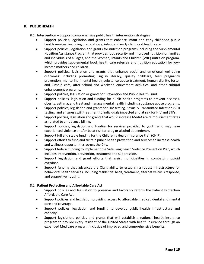# **8. PUBLIC HEALTH**

- 8.1. **Intervention** Support comprehensive public health intervention strategies
	- Support policies, legislation and grants that enhance infant and early-childhood public health services, including prenatal care, infant and early childhood health care.
	- Support policies, legislation and grants for nutrition programs including the Supplemental Nutrition Assistance Program that provides food security and improved nutrition for families and individuals of all ages, and the Women, Infants and Children (WIC) nutrition program, which provides supplemental food, health care referrals and nutrition education for lowincome mothers and children.
	- Support policies, legislation and grants that enhance social and emotional well-being outcomes: including promoting English literacy, quality childcare, teen pregnancy prevention, mentoring, mental health, substance abuse treatment, human dignity, foster and kinship care, after school and weekend enrichment activities, and other cultural enhancement programs.
	- Support policies, legislation or grants for Prevention and Public Health Fund.
	- Support policies, legislation and funding for public health programs to prevent diseases, obesity, asthma, and treat and manage mental health including substance abuse programs.
	- Support policies, legislation and grants for HIV testing, Sexually Transmitted Infection (STI) testing, and ensures swift treatment to individuals impacted and at risk for HIV and STI's.
	- Support policies, legislation and grants that would increase Medi-Care reimbursement rates as related to ambulance billing.
	- Support policies, legislation and funding for services provided to youth who may have experienced violence and/or be at risk for drug or alcohol dependency.
	- Support full and stable funding for the Children's Health Insurance Plan (CHIP).
	- Support efforts to fund and sustain public health prevention and services to increase health and wellness opportunities across the City.
	- Support federal funding to implement the Safe Long Beach Violence Prevention Plan, which includes intervention, prevention, treatment and suppression.
	- Support legislation and grant efforts that assist municipalities in combatting opioid overdose.
	- Support funding that advances the City's ability to establish a robust infrastructure for behavioral health services, including residential beds, treatment, alternative crisis response, and supportive housing.

# 8.2. **Patient Protection and Affordable Care Act**

- Support policies and legislation to preserve and favorably reform the Patient Protection Affordable Care Act.
- Support policies and legislation providing access to affordable medical, dental and mental care and coverage.
- Support policies, legislation and funding to develop public health infrastructure and capacity.
- Support legislation, policies and grants that will establish a national health insurance program to provide every resident of the United States with health insurance through an expanded Medicare program, inclusive of improved and comprehensive benefits.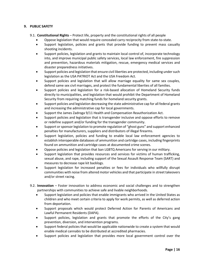# **9. PUBLIC SAFETY**

- 9.1. **Constitutional Rights** Protect life, property and the constitutional rights of all people
	- Oppose legislation that would require concealed carry reciprocity from state-to-state.
	- Support legislation, policies and grants that provide funding to prevent mass casualty shooting incidents.
	- Support policies, legislation and grants to maintain local control of, incorporate technology into, and improve municipal public safety services, local law enforcement, fire suppression and prevention, hazardous materials mitigation, rescue, emergency medical services and disaster preparedness initiatives.
	- Support policies and legislation that ensure civil liberties are protected, including under such legislation as the USA PATRIOT Act and the USA Freedom Act.
	- Support policies and legislation that will allow marriage equality for same sex couples, defend same sex civil marriages, and protect the fundamental liberties of all families.
	- Support policies and legislation for a risk-based allocation of Homeland Security funds directly to municipalities, and legislation that would prohibit the Department of Homeland Security from requiring matching funds for homeland security grants.
	- Support policies and legislation decreasing the state administrative cap for all federal grants and increasing the administrative cap for local governments.
	- Support the James Zadroga 9/11 Health and Compensation Reauthorization Act.
	- Support policies and legislation that is transgender inclusive and oppose efforts to remove or redefine support and/or funding for the transgender community.
	- Support or sponsor legislation to promote regulation of "ghost guns" and support enhanced penalties for manufacturers, suppliers and distributors of illegal firearms.
	- Support legislation, policies and funding to enable local law enforcement agencies to establish interoperable databases of ammunition and cartridge cases, including fingerprints found on ammunition and cartridge cases at documented crime scenes.
	- Oppose policies and legislation that ban LGBTQ Americans for serving in our military.
	- Support legislation that provides resources and services for victims of human trafficking, sexual abuse, and rape, including support of the Sexual Assault Response Team (SART) and measures to decrease rape kit backlogs.
	- Support legislation for increased penalties or fees for individuals who willfully disrupt communities with noise from altered motor vehicles and that participate in street takeovers and/or street racing.
- 9.2. **Innovation** Foster innovation to address economic and social challenges and to strengthen partnerships with communities to achieve safe and livable neighborhoods.
	- Support legislation and policies that enable immigrants who arrived in the United States as children and who meet certain criteria to apply for work permits, as well as deferred action from deportation.
	- Support proposals which would protect Deferred Action for Parents of Americans and Lawful Permanent Residents (DAPA).
	- Support policies, legislation and grants that promote the efforts of the City's gang prevention, diversion, and intervention programs.
	- Support federal policies that would be applicable nationwide to create a system that would enable medical cannabis to be distributed at accredited pharmacies.
	- Support policies and legislation that provides more local government control over the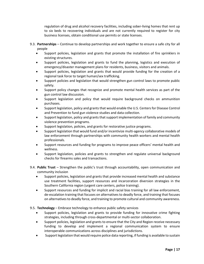regulation of drug and alcohol recovery facilities, including sober-living homes that rent up to six beds to recovering individuals and are not currently required to register for city business licenses, obtain conditional use permits or state licenses.

- 9.3. **Partnerships** Continue to develop partnerships and work together to ensure a safe city for all people
	- Support policies, legislation and grants that promote the installation of fire sprinklers in existing structures.
	- Support policies, legislation and grants to fund the planning, logistics and execution of emergency/disaster management plans for residents, business, visitors and animals.
	- Support policies, legislation and grants that would provide funding for the creation of a regional task force to target human/sex trafficking.
	- Support policies and legislation that would strengthen gun control laws to promote public safety.
	- Support policy changes that recognize and promote mental health services as part of the gun control law discussion.
	- Support legislation and policy that would require background checks on ammunition purchases.
	- Support legislation, policy and grants that would enable the U.S. Centers for Disease Control and Prevention to fund gun violence studies and data collection.
	- Support legislation, policy and grants that support implementation of family and community violence prevention programs.
	- Support legislation, policies, and grants for restorative justice programs.
	- Support legislation that would fund and/or incentivize multi-agency collaborative models of law enforcement through partnerships with community health workers and mental health professionals.
	- Support resources and funding for programs to improve peace officers' mental health and wellness.
	- Support legislation, policies and grants to strengthen and regulate universal background checks for firearms sales and transactions.
- 9.4. **Public Trust** Strengthen the public's trust through accountability, open communication and community inclusion
	- Support policies, legislation and grants that provide increased mental health and substance use treatment facilities, support resources and incarceration diversion strategies in the Southern California region (urgent care centers, police training).
	- Support resources and funding for implicit and racial bias training for all law enforcement, de-escalation training that focuses on alternatives to deadly force, and training that focuses on alternatives to deadly force, and training to promote cultural and community awareness.

9.5. **Technology** – Embrace technology to enhance public safety services

- Support policies, legislation and grants to provide funding for innovative crime fighting strategies, including through cross-departmental or multi-sector collaboration.
- Support policies, legislation and grants to ensure that the City and Region receive necessary funding to develop and implement a regional communication system to ensure interoperable communications across disciplines and jurisdictions.
- Support legislation that would require police data reporting, if funding is available to sustain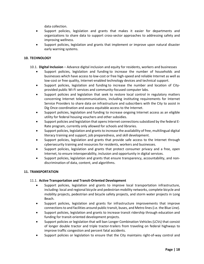data collection.

- Support policies, legislation and grants that makes it easier for departments and organizations to share data to support cross-sector approaches to addressing safety and improving wellness.
- Support policies, legislation and grants that implement or improve upon natural disaster early warning systems.

# **10. TECHNOLOGY**

- 10.1. **Digital Inclusion** Advance digital inclusion and equity for residents, workers and businesses
	- Support policies, legislation and funding to increase the number of households and businesses which have access to low-cost or free high-speed and reliable Internet as well as low-cost or free quality, Internet-enabled technology devices and technical support.
	- Support policies, legislation and funding to increase the number and location of Cityprovided public Wi-Fi services and community-focused computer labs.
	- Support policies and legislation that seek to restore local control in regulatory matters concerning Internet telecommunications, including instituting requirements for Internet Service Providers to share data on infrastructure and subscribers with the City to assist in Dig Once coordination and assess equitable access to the Internet.
	- Support policies, legislation and funding to increase ongoing Internet access as an eligible utility for federal housing vouchers and other subsidies.
	- Support policies and legislation that opens Internet connections subsidized by the federal E-Rate program, currently only allowed for schools and libraries.
	- Support policies, legislation and grants to increase the availability of free, multilingual digital literacy training and support, job preparedness, and skill development.
	- Support policies, legislation and grants that provide safe access to the Internet through cybersecurity training and resources for residents, workers and businesses.
	- Support policies, legislation and grants that protect consumer privacy and a free, open Internet, to ensure interoperability, inclusion and opportunity in digital services.
	- Support policies, legislation and grants that ensure transparency, accountability, and nondiscrimination of data, content, and algorithms.

# **11. TRANSPORTATION**

# 11.1. **Active Transportation and Transit-Oriented Development**

- Support policies, legislation and grants to improve local transportation infrastructure, including: local and regional bicycle and pedestrian mobility networks, complete bicycle and mobility projects, pedestrian and bicycle safety projects, and storm water projects in Long Beach.
- Support policies, legislation and grants for infrastructure improvements that improve connections to and facilities around public transit, buses, and Metro lines (i.e. the Blue Line).
- Support policies, legislation and grants to increase transit ridership through education and funding for transit-oriented development projects.
- Support policies or legislation that will ban Longer Combination Vehicles (LCVs) that consist of longer double tractor and triple tractor-trailers from traveling on federal highways to improve traffic congestion and percent fatal accidents.
- Support policies or legislation to ensure that the City maintains right-of-way control and